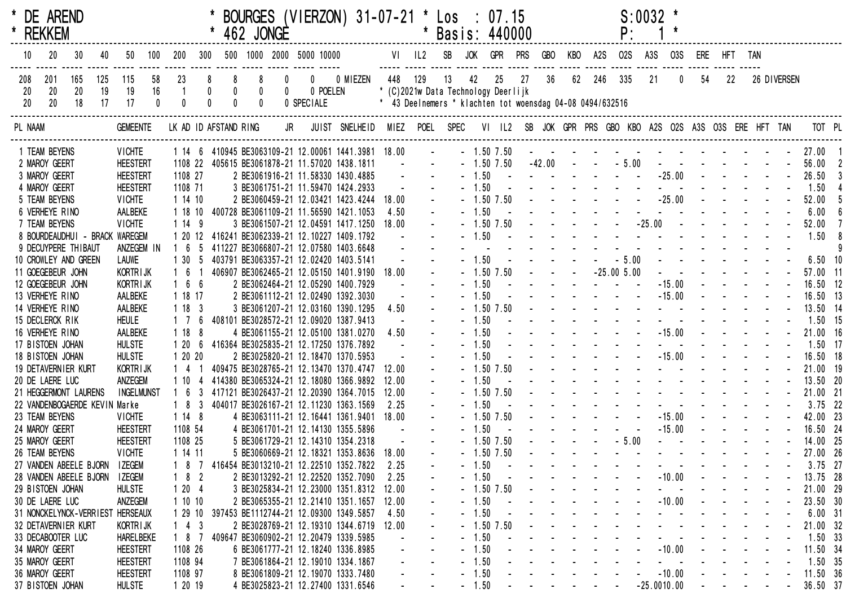|         | * DE AREND<br>* REKKEM |                                                       |     |                                |              |              |     |                                                 | 462 JONGE   |                |            | BOURGES (VIERZON) 31-07-21 * Los : 07.15                                                 |                 |                | * Basis: 440000                                           |                    |                |            |                    |     |     | P:                                                                                                                                                                                                                             | $S:0032$ *    |          |                                     |                                                                                                                       |            |                                                                                                                       |                                                           |                       |  |
|---------|------------------------|-------------------------------------------------------|-----|--------------------------------|--------------|--------------|-----|-------------------------------------------------|-------------|----------------|------------|------------------------------------------------------------------------------------------|-----------------|----------------|-----------------------------------------------------------|--------------------|----------------|------------|--------------------|-----|-----|--------------------------------------------------------------------------------------------------------------------------------------------------------------------------------------------------------------------------------|---------------|----------|-------------------------------------|-----------------------------------------------------------------------------------------------------------------------|------------|-----------------------------------------------------------------------------------------------------------------------|-----------------------------------------------------------|-----------------------|--|
| 10      | 20                     | 30 <sup>°</sup>                                       | 40  | 50                             | 100          | 200          | 300 |                                                 |             |                |            | 500 1000 2000 5000 10000                                                                 |                 | VI IL2         | SB                                                        | JOK                | GPR            | <b>PRS</b> | <b>GBO</b>         | KBO | A2S | <b>02S</b>                                                                                                                                                                                                                     | A3S           | 03S      | ERE HFT TAN                         |                                                                                                                       |            |                                                                                                                       |                                                           |                       |  |
| 208     | 201                    | 165                                                   | 125 | 115                            | 58           | 23           |     | 8                                               | 8           | $\mathbf{0}$   |            | 0 0 MIEZEN                                                                               | 448 129         |                | 13                                                        | 42                 | 25             | 27         | 36                 | 62  | 246 | 335                                                                                                                                                                                                                            | 21            | 0        | 54                                  | 22                                                                                                                    |            | 26 DIVERSEN                                                                                                           |                                                           |                       |  |
| 20      | 20                     | $20\,$                                                | 19  | 19                             | 16           |              |     | $\begin{smallmatrix} 0\\0\\0 \end{smallmatrix}$ | $\pmb{0}$   | $\overline{0}$ | 0 POELEN   |                                                                                          |                 |                | * (C)2021w Data Technology Deerlijk                       |                    |                |            |                    |     |     |                                                                                                                                                                                                                                |               |          |                                     |                                                                                                                       |            |                                                                                                                       |                                                           |                       |  |
| 20      | 20                     | 18                                                    | 17  | 17                             | $\mathbf{0}$ | $\mathbf{0}$ |     |                                                 | $\mathbf 0$ |                | 0 SPECIALE |                                                                                          |                 |                | * 43 Deelnemers * klachten tot woensdag 04-08 0494/632516 |                    |                |            |                    |     |     |                                                                                                                                                                                                                                |               |          |                                     |                                                                                                                       |            |                                                                                                                       |                                                           |                       |  |
| PL NAAM |                        |                                                       |     | <b>GEMEENTE</b>                |              |              |     | LK AD ID AFSTAND RING                           |             |                |            | JR JUIST SNELHEID MIEZ POEL SPEC                                                         |                 |                |                                                           |                    |                |            |                    |     |     | VI IL2 SB JOK GPR PRS GBO KBO A2S O2S A3S O3S ERE HFT TAN                                                                                                                                                                      |               |          |                                     |                                                                                                                       |            |                                                                                                                       |                                                           | TOT PL                |  |
|         | 1 TEAM BEYENS          |                                                       |     | <b>VICHTE</b>                  |              |              |     |                                                 |             |                |            | 1 14 6 410945 BE3063109-21 12.00061 1441.3981 18.00                                      |                 | $\sim 10^{-1}$ |                                                           |                    | $-1.50$ 7.50   |            | المستنبذ والمستنبذ |     |     | - - - - - - - - - - 27.00 1                                                                                                                                                                                                    |               |          |                                     |                                                                                                                       |            |                                                                                                                       |                                                           |                       |  |
|         | 2 MAROY GEERT          |                                                       |     | <b>HEESTERT</b>                |              |              |     |                                                 |             |                |            | 1108 22 405615 BE3061878-21 11.57020 1438.1811                                           | $\sim 10^{-10}$ |                |                                                           |                    | $-1.50$ 7.50   |            |                    |     |     | $-42.00$ $  -5.00$                                                                                                                                                                                                             |               |          | and the state of the state of the   |                                                                                                                       |            |                                                                                                                       |                                                           | 56.00 2               |  |
|         | 3 MAROY GEERT          |                                                       |     | <b>HEESTERT</b>                |              | 1108 27      |     |                                                 |             |                |            | 2 BE3061916-21 11.58330 1430.4885                                                        |                 |                |                                                           |                    | $-1.50 - -$    |            |                    |     |     | and the state of the state of the                                                                                                                                                                                              |               | $-25.00$ |                                     | $\mathcal{L}^{\text{max}}(\mathcal{L}^{\text{max}}(\mathcal{L}^{\text{max}}))$                                        |            |                                                                                                                       |                                                           | 26.50                 |  |
|         | 4 MAROY GEERT          |                                                       |     | <b>HEESTERT</b>                |              | 1108 71      |     |                                                 |             |                |            | 3 BE3061751-21 11.59470 1424.2933                                                        |                 |                |                                                           | $-1.50$            |                |            |                    |     |     |                                                                                                                                                                                                                                |               |          |                                     |                                                                                                                       |            |                                                                                                                       |                                                           | 1.50                  |  |
|         | 5 TEAM BEYENS          |                                                       |     | <b>VICHTE</b>                  |              | 1 14 10      |     |                                                 |             |                |            | 2 BE3060459-21 12.03421 1423.4244                                                        | 18.00           |                |                                                           |                    | $-1.50$ $7.50$ |            |                    |     |     |                                                                                                                                                                                                                                |               |          |                                     |                                                                                                                       |            |                                                                                                                       |                                                           | 52.00                 |  |
|         | 6 VERHEYE RINO         |                                                       |     | AALBEKE                        |              | 1 18 10      |     |                                                 |             |                |            | 400728 BE3061109-21 11.56590 1421.1053                                                   | 4.50            |                |                                                           | $-1.50$            |                |            |                    |     |     |                                                                                                                                                                                                                                |               |          | $-25.00$ - - - -                    |                                                                                                                       |            |                                                                                                                       |                                                           | 6.00                  |  |
|         | 7 TEAM BEYENS          |                                                       |     | <b>VICHTE</b>                  |              | 1149         |     |                                                 |             |                |            | 3 BE3061507-21 12.04591 1417.1250                                                        | 18.00           |                |                                                           | $-1.50$            | $-1.50$ $7.50$ |            |                    |     |     | the contract of the contract of the                                                                                                                                                                                            |               |          |                                     |                                                                                                                       |            |                                                                                                                       |                                                           | 52.00<br>1.50         |  |
|         |                        | 8 BOURDEAUDHUI - BRACK WAREGEM<br>9 DECUYPERE THIBAUT |     | ANZEGEM IN                     |              |              |     |                                                 |             |                |            | 1 20 12 416241 BE3062339-21 12.10227 1409.1792<br>411227 BE3066807-21 12.07580 1403.6648 |                 |                |                                                           |                    |                |            |                    |     |     |                                                                                                                                                                                                                                |               |          |                                     |                                                                                                                       |            |                                                                                                                       |                                                           |                       |  |
|         |                        | 10 CROWLEY AND GREEN                                  |     | <b>LAUWE</b>                   |              | 1 30 5       |     |                                                 |             |                |            | 403791 BE3063357-21 12.02420 1403.5141                                                   |                 |                |                                                           | $-1.50$            |                |            |                    |     |     | $- 5.00$                                                                                                                                                                                                                       |               |          | and a series of the series of the   |                                                                                                                       |            |                                                                                                                       |                                                           | $6.50$ 10             |  |
|         | 11 GOEGEBEUR JOHN      |                                                       |     | KORTR I JK                     |              | $1\quad6$    |     |                                                 |             |                |            | 406907 BE3062465-21 12.05150 1401.9190                                                   | 18.00           |                |                                                           |                    | $-1.50$ 7.50   |            |                    |     |     | $-25.005.00$                                                                                                                                                                                                                   |               |          |                                     |                                                                                                                       |            |                                                                                                                       |                                                           | 57.00 11              |  |
|         | 12 GOEGEBEUR JOHN      |                                                       |     | <b>KORTRIJK</b>                |              | 166          |     |                                                 |             |                |            | 2 BE3062464-21 12.05290 1400.7929                                                        |                 |                |                                                           | $-1.50$            |                |            |                    |     |     |                                                                                                                                                                                                                                |               | $-15.00$ |                                     |                                                                                                                       |            |                                                                                                                       |                                                           | 16.50 12              |  |
|         | 13 VERHEYE RINO        |                                                       |     | AALBEKE                        |              | 1 18 17      |     |                                                 |             |                |            | 2 BE3061112-21 12.02490 1392.3030                                                        |                 |                |                                                           | $-1.50$            |                |            |                    |     |     | the contract of the contract of                                                                                                                                                                                                |               | $-15.00$ |                                     |                                                                                                                       |            |                                                                                                                       |                                                           | 16.50 13              |  |
|         | 14 VERHEYE RINO        |                                                       |     | AALBEKE                        |              | 1183         |     |                                                 |             |                |            | 3 BE3061207-21 12.03160 1390.1295                                                        | 4.50            |                |                                                           |                    | $-1.50$ 7.50   |            |                    |     |     | and the second contract of the second second                                                                                                                                                                                   |               |          |                                     |                                                                                                                       |            |                                                                                                                       |                                                           | 13.50 14              |  |
|         | 15 DECLERCK RIK        |                                                       |     | <b>HEULE</b>                   |              | $1\quad 7$   |     |                                                 |             |                |            | 408101 BE3028572-21 12.09020 1387.9413                                                   |                 |                |                                                           | $-1.50$            |                |            |                    |     |     |                                                                                                                                                                                                                                |               |          |                                     |                                                                                                                       |            |                                                                                                                       |                                                           | 1.50 15               |  |
|         | 16 VERHEYE RINO        |                                                       |     | AALBEKE                        |              | 1188         |     |                                                 |             |                |            | 4 BE3061155-21 12.05100 1381.0270                                                        | 4.50            |                |                                                           | $-1.50$            |                |            |                    |     |     |                                                                                                                                                                                                                                |               |          |                                     |                                                                                                                       |            |                                                                                                                       |                                                           | 21.00 16              |  |
|         | 17 BISTOEN JOHAN       |                                                       |     | <b>HULSTE</b>                  |              | 1 20         |     |                                                 |             |                |            | 6 416364 BE3025835-21 12.17250 1376.7892                                                 |                 |                |                                                           | $-1.50$            |                |            |                    |     |     |                                                                                                                                                                                                                                |               |          |                                     |                                                                                                                       |            |                                                                                                                       |                                                           | $1.50$ 17             |  |
|         | 18 BISTOEN JOHAN       |                                                       |     | <b>HULSTE</b>                  |              | 1 20 20      |     |                                                 |             |                |            | 2 BE3025820-21 12.18470 1370.5953                                                        |                 |                |                                                           | $-1.50$            |                |            |                    |     |     |                                                                                                                                                                                                                                |               | $-15.00$ |                                     |                                                                                                                       |            |                                                                                                                       |                                                           | 16.50 18              |  |
|         | 19 DETAVERNIER KURT    |                                                       |     | <b>KORTRIJK</b>                |              | $1\quad 4$   |     |                                                 |             |                |            | 409475 BE3028765-21 12.13470 1370.4747                                                   | 12.00           |                |                                                           |                    | $-1.50$ 7.50   |            |                    |     |     | and a state of the state of the state                                                                                                                                                                                          |               |          |                                     |                                                                                                                       |            |                                                                                                                       |                                                           | 21.00 19              |  |
|         | 20 DE LAERE LUC        |                                                       |     | ANZEGEM                        |              |              |     |                                                 |             |                |            | 414380 BE3065324-21 12.18080 1366.9892                                                   | 12.00           |                |                                                           | $-1.50$            |                |            |                    |     |     | and the second contract of the second second                                                                                                                                                                                   |               |          |                                     |                                                                                                                       |            |                                                                                                                       |                                                           | 13.50 20              |  |
|         |                        | 21 HEGGERMONT LAURENS                                 |     | <b>INGELMUNST</b>              |              |              |     |                                                 |             |                |            | 417121 BE3026437-21 12.20390 1364.7015                                                   | 12.00           |                |                                                           |                    | $-1.50$ $7.50$ |            |                    |     |     | and the second contract of the second second                                                                                                                                                                                   |               |          |                                     |                                                                                                                       |            |                                                                                                                       |                                                           | 21.00 21              |  |
|         |                        | 22 VANDENBOGAERDE KEVIN Marke                         |     |                                |              | 1 8 3        |     |                                                 |             |                |            | 404017 BE3026167-21 12.11230 1363.1569                                                   | 2.25            |                |                                                           | $-1.50$            |                |            |                    |     |     |                                                                                                                                                                                                                                |               |          | the contract of the contract of the |                                                                                                                       |            |                                                                                                                       |                                                           | $3.75$ 22             |  |
|         | 23 TEAM BEYENS         |                                                       |     | <b>VICHTE</b>                  |              | 1148         |     |                                                 |             |                |            | 4 BE3063111-21 12.16441 1361.9401                                                        | 18.00           |                |                                                           |                    | $-1.50$ $7.50$ |            |                    |     |     |                                                                                                                                                                                                                                |               | $-15.00$ |                                     |                                                                                                                       |            | $\mathbf{1}^{\prime}$ , $\mathbf{1}^{\prime}$ , $\mathbf{1}^{\prime}$ , $\mathbf{1}^{\prime}$ , $\mathbf{1}^{\prime}$ |                                                           | 42.00 23              |  |
|         | 24 MAROY GEERT         |                                                       |     | <b>HEESTERT</b>                |              | 1108 54      |     |                                                 |             |                |            | 4 BE3061701-21 12.14130 1355.5896                                                        |                 |                |                                                           | $-1.50$            |                |            |                    |     |     |                                                                                                                                                                                                                                |               | $-15.00$ |                                     | $\mathbf{1}^{\prime}$ , $\mathbf{1}^{\prime}$ , $\mathbf{1}^{\prime}$ , $\mathbf{1}^{\prime}$ , $\mathbf{1}^{\prime}$ |            |                                                                                                                       |                                                           | 16.50 24              |  |
|         | 25 MAROY GEERT         |                                                       |     | <b>HEESTERT</b>                |              | 1108 25      |     |                                                 |             |                |            | 5 BE3061729-21 12.14310 1354.2318                                                        |                 |                |                                                           |                    | $-1.50$ 7.50   |            |                    |     |     | $-5.00$                                                                                                                                                                                                                        |               |          | and a straight and a straight       |                                                                                                                       |            |                                                                                                                       |                                                           | 14.00 25              |  |
|         | 26 TEAM BEYENS         |                                                       |     | <b>VICHTE</b>                  |              | 1 14 11      |     |                                                 |             |                |            | 5 BE3060669-21 12.18321 1353.8636 18.00                                                  |                 |                |                                                           |                    | $-1.50$ 7.50   |            |                    |     |     | the second contract of the second contract of the second contract of the second contract of the second contract of the second contract of the second contract of the second contract of the second contract of the second cont |               |          |                                     |                                                                                                                       |            |                                                                                                                       |                                                           | 27.00 26              |  |
|         |                        | 27 VANDEN ABEELE BJORN                                |     | <b>IZEGEM</b>                  |              |              | -2  |                                                 |             |                |            | 416454 BE3013210-21 12.22510 1352.7822<br>2 BE3013292-21 12.22520 1352.7090              | 2.25            |                |                                                           | $-1.50$<br>$-1.50$ |                |            |                    |     |     |                                                                                                                                                                                                                                |               | $-10.00$ |                                     |                                                                                                                       |            |                                                                                                                       |                                                           | $3.75$ 27<br>13.75 28 |  |
|         | 29 BISTOEN JOHAN       | 28 VANDEN ABEELE BJORN                                |     | <b>IZEGEM</b><br><b>HULSTE</b> |              | 18<br>1204   |     |                                                 |             |                |            | 3 BE3025834-21 12.23000 1351.8312                                                        | 2.25<br>12.00   |                |                                                           |                    | $-1.50$ 7.50   |            |                    |     |     |                                                                                                                                                                                                                                |               |          |                                     |                                                                                                                       |            |                                                                                                                       |                                                           | 21.00 29              |  |
|         | 30 DE LAERE LUC        |                                                       |     | ANZEGEM                        |              | 11010        |     |                                                 |             |                |            | 2 BE3065355-21 12.21410 1351.1657                                                        | 12.00           |                |                                                           | $-1.50$            |                |            |                    |     |     |                                                                                                                                                                                                                                |               | $-10.00$ |                                     |                                                                                                                       |            |                                                                                                                       |                                                           | 23.50 30              |  |
|         |                        | 31 NONCKELYNCK-VERRIEST                               |     | <b>HERSEAUX</b>                |              | 1 29 10      |     |                                                 |             |                |            | 397453 BE1112744-21 12.09300 1349.5857                                                   | 4.50            |                |                                                           | $-1.50$            |                |            |                    |     |     |                                                                                                                                                                                                                                |               |          |                                     |                                                                                                                       |            |                                                                                                                       |                                                           | 6.00 31               |  |
|         | 32 DETAVERNIER KURT    |                                                       |     | KORTRIJK                       |              | $1 \t4 \t3$  |     |                                                 |             |                |            | 2 BE3028769-21 12.19310 1344.6719                                                        | 12.00           |                |                                                           |                    | $-1.50$ 7.50   |            |                    |     |     |                                                                                                                                                                                                                                |               |          |                                     |                                                                                                                       |            |                                                                                                                       |                                                           | 21.00 32              |  |
|         | 33 DECABOOTER LUC      |                                                       |     | <b>HARELBEKE</b>               |              | $187$        |     |                                                 |             |                |            | 409647 BE3060902-21 12.20479 1339.5985                                                   |                 |                |                                                           | $-1.50$            |                |            |                    |     |     |                                                                                                                                                                                                                                |               |          |                                     |                                                                                                                       |            |                                                                                                                       |                                                           | $1.50$ 33             |  |
|         | 34 MAROY GEERT         |                                                       |     | <b>HEESTERT</b>                |              | 1108 26      |     |                                                 |             |                |            | 6 BE3061777-21 12.18240 1336.8985                                                        |                 |                |                                                           | $-1.50$            |                |            |                    |     |     |                                                                                                                                                                                                                                |               | $-10.00$ |                                     |                                                                                                                       |            |                                                                                                                       |                                                           | 11.50 34              |  |
|         | 35 MAROY GEERT         |                                                       |     | <b>HEESTERT</b>                |              | 1108 94      |     |                                                 |             |                |            | 7 BE3061864-21 12.19010 1334.1867                                                        |                 |                |                                                           | $-1.50$            |                |            |                    |     |     |                                                                                                                                                                                                                                |               |          |                                     |                                                                                                                       |            |                                                                                                                       |                                                           | 1.50 35               |  |
|         | 36 MAROY GEERT         |                                                       |     | <b>HEESTERT</b>                |              | 1108 97      |     |                                                 |             |                |            | 8 BE3061809-21 12.19070 1333.7480                                                        |                 |                |                                                           | $-1.50$            |                |            |                    |     |     |                                                                                                                                                                                                                                |               | $-10.00$ |                                     |                                                                                                                       |            |                                                                                                                       |                                                           | 11.50 36              |  |
|         | 37 BISTOEN JOHAN       |                                                       |     | <b>HULSTE</b>                  |              | 1 20 19      |     |                                                 |             |                |            | 4 BE3025823-21 12.27400 1331.6546                                                        |                 |                |                                                           | $-1.50$            |                |            |                    |     |     |                                                                                                                                                                                                                                | $-25.0010.00$ |          |                                     |                                                                                                                       | $\sim$ $-$ |                                                                                                                       | $\mathcal{A}=\mathcal{A}$ , and $\mathcal{A}=\mathcal{A}$ | 36.50 37              |  |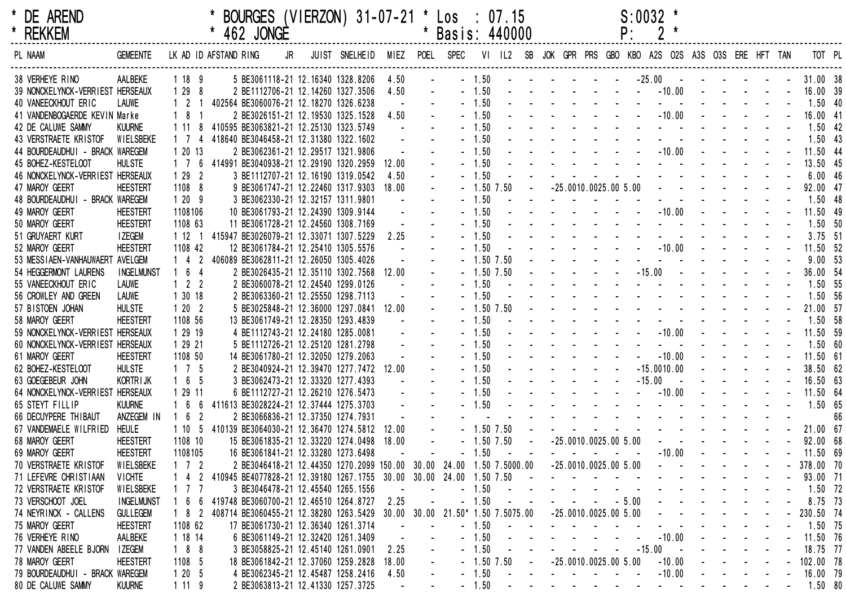| <b>DE AREND</b> |
|-----------------|
| <b>REKKEM</b>   |

| * DE<br>AREND | <b>BOURGES</b><br>$(VIERZON)$ 31-07-2<br>01 * L<br>07<br>$\mathsf{LOS}$ | :0032 |
|---------------|-------------------------------------------------------------------------|-------|
| ____________  |                                                                         |       |

|    | S:0032 | ÷ |
|----|--------|---|
| D٠ |        | ÷ |

| <b>REKKEM</b>                    |                   |                     |                       | 462 JONGE |    |                                                                     |       |                 | Basis: 440000         |                |      |                                                           |  | Ρ.      |                                                                                                                 |  |  |           |    |
|----------------------------------|-------------------|---------------------|-----------------------|-----------|----|---------------------------------------------------------------------|-------|-----------------|-----------------------|----------------|------|-----------------------------------------------------------|--|---------|-----------------------------------------------------------------------------------------------------------------|--|--|-----------|----|
| PL NAAM                          | <b>GEMEENTE</b>   |                     | LK AD ID AFSTAND RING |           | JR | JUIST SNELHEID                                                      |       | MIEZ POEL SPEC  |                       |                |      | VI IL2 SB JOK GPR PRS GBO KBO A2S O2S A3S O3S ERE HFT TAN |  |         |                                                                                                                 |  |  | TOT PL    |    |
| 38 VERHEYE RINO                  | AALBEKE           | 1189                |                       |           |    | 5 BE3061118-21 12.16340 1328.8206                                   | 4.50  |                 |                       | $-1.50$        |      | المنابيب والمستنقذ والمستنقذ والمستنقذ                    |  |         | $-25.00$ - - - -                                                                                                |  |  | 31.00 38  |    |
| 39 NONCKELYNCK-VERRIEST HERSEAUX |                   | 1298                |                       |           |    | 2 BE1112706-21 12.14260 1327.3506                                   | 4.50  |                 |                       | $-1.50$        |      |                                                           |  |         | $-10.00$                                                                                                        |  |  | 16.00 39  |    |
| 40 VANEECKHOUT ERIC              | <b>LAUWE</b>      | $1\quad2$           |                       |           |    | 402564 BE3060076-21 12.18270 1326.6238                              |       |                 |                       | $-1.50$        |      |                                                           |  |         |                                                                                                                 |  |  | $1.50$ 40 |    |
| 41 VANDENBOGAERDE KEVIN Marke    |                   | 18                  |                       |           |    | 2 BE3026151-21 12.19530 1325.1528                                   | 4.50  |                 |                       | $-1.50$        |      |                                                           |  |         | $-10.00$                                                                                                        |  |  | 16.00 41  |    |
| 42 DE CALUWE SAMMY               | <b>KUURNE</b>     | 1 11                |                       |           |    | 410595 BE3063821-21 12.25130 1323.5749                              |       |                 |                       | $-1.50$        |      |                                                           |  |         |                                                                                                                 |  |  | $1.50$ 42 |    |
| 43 VERSTRAETE KRISTOF            | WIELSBEKE         | 1 7                 |                       |           |    | 418640 BE3046458-21 12.31380 1322.1602                              |       |                 |                       | $-1.50$        |      |                                                           |  |         |                                                                                                                 |  |  | $1.50$ 43 |    |
| 44 BOURDEAUDHUI - BRACK WAREGEM  |                   | 1 20 13             |                       |           |    | 2 BE3062361-21 12.29517 1321.9806                                   |       |                 |                       | $-1.50$        |      |                                                           |  |         | $-10.00$                                                                                                        |  |  | 11.50 44  |    |
| 45 BOHEZ-KESTELOOT               | <b>HULSTE</b>     | 1 7                 | 6                     |           |    | 414991 BE3040938-21 12.29190 1320.2959                              | 12.00 |                 |                       | $-1.50$        |      |                                                           |  |         |                                                                                                                 |  |  | 13.50 45  |    |
| 46 NONCKELYNCK-VERRIEST HERSEAUX |                   | 1292                |                       |           |    | 3 BE1112707-21 12.16190 1319.0542                                   | 4.50  |                 |                       | $-1.50$        |      |                                                           |  |         |                                                                                                                 |  |  | 6.0046    |    |
| 47 MAROY GEERT                   | <b>HEESTERT</b>   | 1108 8              |                       |           |    | 9 BE3061747-21 12.22460 1317.9303                                   | 18.00 |                 |                       | $-1.50$        | 7.50 | $-25.0010.0025.005.00$                                    |  |         |                                                                                                                 |  |  | 92.00 47  |    |
| 48 BOURDEAUDHUI - BRACK WAREGEM  |                   | 1209                |                       |           |    | 3 BE3062330-21 12.32157 1311.9801                                   |       |                 |                       | $-1.50$        |      | the company of the company of                             |  |         |                                                                                                                 |  |  | 1.50 48   |    |
| 49 MAROY GEERT                   | <b>HEESTERT</b>   | 1108106             |                       |           |    | 10 BE3061793-21 12.24390 1309.9144                                  |       |                 |                       | $-1.50$        |      |                                                           |  |         | $-10.00$                                                                                                        |  |  | 11.50 49  |    |
| 50 MAROY GEERT                   | <b>HEESTERT</b>   | 1108 63             |                       |           |    | 11 BE3061728-21 12.24560 1308.7169                                  |       |                 |                       | $-1.50$        |      |                                                           |  |         |                                                                                                                 |  |  | 1.50 50   |    |
| 51 GRUYAERT KURT                 | <b>I ZEGEM</b>    |                     |                       |           |    | 1 12 1 415947 BE3026079-21 12.33071 1307.5229                       | 2.25  |                 |                       | $-1.50$        |      |                                                           |  |         |                                                                                                                 |  |  | $3.75$ 51 |    |
| 52 MAROY GEERT                   | <b>HEESTERT</b>   | 1108 42             |                       |           |    | 12 BE3061784-21 12.25410 1305.5576                                  |       |                 |                       | $-1.50$        |      |                                                           |  |         | $-10.00$                                                                                                        |  |  | 11.50 52  |    |
| 53 MESSIAEN-VANHAUWAERT AVELGEM  |                   | $1\quad 4$          |                       |           |    | 406089 BE3062811-21 12.26050 1305.4026                              |       |                 |                       | $-1.50$ 7.50   |      |                                                           |  |         |                                                                                                                 |  |  | 9.00 53   |    |
| 54 HEGGERMONT LAURENS            | <b>INGELMUNST</b> | 164                 |                       |           |    | 2 BE3026435-21 12.35110 1302.7568                                   | 12.00 |                 |                       | $-1.50$ 7.50   |      |                                                           |  |         | $-15.00$                                                                                                        |  |  | 36.00 54  |    |
| 55 VANEECKHOUT ERIC              | <b>LAUWE</b>      | $1 \quad 2 \quad 2$ |                       |           |    | 2 BE3060078-21 12.24540 1299.0126                                   |       |                 |                       | $-1.50$        |      |                                                           |  |         | the contract of the contract of                                                                                 |  |  | 1.50 55   |    |
| 56 CROWLEY AND GREEN             | <b>LAUWE</b>      | 1 30 18             |                       |           |    | 2 BE3063360-21 12.25550 1298.7113                                   |       |                 |                       | $-1.50$        |      |                                                           |  |         | the contract of the contract of the contract of the contract of the contract of the contract of the contract of |  |  | 1.50 56   |    |
| 57 BISTOEN JOHAN                 | <b>HULSTE</b>     | 1202                |                       |           |    | 5 BE3025848-21 12.36000 1297.0841                                   | 12.00 |                 |                       | $-1.50$ $7.50$ |      |                                                           |  |         |                                                                                                                 |  |  | 21.00 57  |    |
| 58 MAROY GEERT                   | <b>HEESTERT</b>   | 1108 56             |                       |           |    | 13 BE3061749-21 12.28350 1293.4839                                  |       |                 |                       | $-1.50$        |      |                                                           |  |         |                                                                                                                 |  |  | 1.50 58   |    |
| 59 NONCKELYNCK-VERRIEST HERSEAUX |                   | 1 29 19             |                       |           |    | 4 BE1112743-21 12.24180 1285.0081                                   |       |                 |                       | $-1.50$        |      |                                                           |  |         | $-10.00$                                                                                                        |  |  | 11.50 59  |    |
| 60 NONCKELYNCK-VERRIEST HERSEAUX |                   | 1 29 21             |                       |           |    | 5 BE1112726-21 12.25120 1281.2798                                   |       |                 |                       | $-1.50$        |      |                                                           |  |         |                                                                                                                 |  |  | 1.5060    |    |
| 61 MAROY GEERT                   | <b>HEESTERT</b>   | 1108 50             |                       |           |    | 14 BE3061780-21 12.32050 1279.2063                                  |       |                 |                       | $-1.50$        |      |                                                           |  |         | $-10.00$                                                                                                        |  |  | 11.50 61  |    |
| 62 BOHEZ-KESTELOOT               | <b>HULSTE</b>     | $1 \quad 7 \quad 5$ |                       |           |    | 2 BE3040924-21 12.39470 1277.7472 12.00                             |       |                 |                       | $-1.50$        |      |                                                           |  |         | $-15.0010.00$                                                                                                   |  |  | 38.50 62  |    |
| 63 GOEGEBEUR JOHN                | KORTR I JK        | $1\quad 6\quad 5$   |                       |           |    | 3 BE3062473-21 12.33320 1277.4393                                   |       |                 |                       | $-1.50$        |      |                                                           |  |         | $-15.00$                                                                                                        |  |  | 16.50 63  |    |
| 64 NONCKELYNCK-VERRIEST HERSEAUX |                   | 1 29 11             |                       |           |    | 6 BE1112727-21 12.26210 1276.5473                                   |       |                 |                       | $-1.50$        |      |                                                           |  |         | $-10.00$                                                                                                        |  |  | 11.50 64  |    |
| 65 STEYT FILLIP                  | <b>KUURNE</b>     |                     |                       |           |    | 411613 BE3028224-21 12.37444 1275.3703                              |       |                 |                       | $-1.50$        |      |                                                           |  |         |                                                                                                                 |  |  | 1.50 65   |    |
| 66 DECUYPERE THIBAUT             | ANZEGEM IN        | $1\quad6$           | $\overline{2}$        |           |    | 2 BE3066836-21 12.37350 1274.7931                                   |       |                 |                       |                |      |                                                           |  |         | the contract of the contract of the contract of the contract of the contract of the contract of the contract of |  |  |           | 66 |
| 67 VANDEMAELE WILFRIED           | HEULE             |                     |                       |           |    | 1 10 5 410139 BE3064030-21 12.36470 1274.5812                       | 12.00 |                 |                       | $-1.50$ $7.50$ |      |                                                           |  |         | and a state of the state of the state of                                                                        |  |  | 21.00 67  |    |
| 68 MAROY GEERT                   | <b>HEESTERT</b>   | 1108 10             |                       |           |    | 15 BE3061835-21 12.33220 1274.0498 18.00                            |       |                 |                       | $-1.50$ $7.50$ |      | $-25.0010.0025.005.00$                                    |  |         |                                                                                                                 |  |  | 92.00 68  |    |
| 69 MAROY GEERT                   | <b>HEESTERT</b>   | 1108105             |                       |           |    | 16 BE3061841-21 12.33280 1273.6498                                  |       |                 |                       | $-1.50$        |      |                                                           |  |         | $-10.00$                                                                                                        |  |  | 11.50 69  |    |
| 70 VERSTRAETE KRISTOF            | WIELSBEKE         | 1 7 2               |                       |           |    | 2 BE3046418-21 12.44350 1270.2099 150.00 30.00 24.00 1.50 7.5000.00 |       |                 |                       |                |      | $-25.0010.0025.005.00$                                    |  |         |                                                                                                                 |  |  | 378.00 70 |    |
| 71 LEFEVRE CHRISTIAAN            | <b>VICHTE</b>     | $1\quad 4$          |                       |           |    | 410945 BE4077828-21 12.39180 1267.1755 30.00 30.00 24.00 1.50 7.50  |       |                 |                       |                |      |                                                           |  |         |                                                                                                                 |  |  | 93.00 71  |    |
| 72 VERSTRAETE KRISTOF            | WIELSBEKE         |                     |                       |           |    | 3 BE3046478-21 12.45540 1265.1556                                   |       |                 |                       | $-1.50$        |      |                                                           |  |         |                                                                                                                 |  |  | 1.50 72   |    |
| 73 VERSCHOOT JOEL                | <b>INGELMUNST</b> |                     |                       |           |    | 419748 BE3060700-21 12.46510 1264.8727                              | 2.25  |                 |                       | $-1.50$        |      |                                                           |  | $-5.00$ |                                                                                                                 |  |  | 8.75 73   |    |
| 74 NEYRINCK - CALLENS            | <b>GULLEGEM</b>   | 1 8 2               |                       |           |    | 408714 BE3060455-21 12.38280 1263.5429                              |       | $30.00$ $30.00$ | 21.50* 1.50 7.5075.00 |                |      | $-25.0010.0025.005.00$                                    |  |         |                                                                                                                 |  |  | 230.50 74 |    |
| 75 MAROY GEERT                   | <b>HEESTERT</b>   | 1108 62             |                       |           |    | 17 BE3061730-21 12.36340 1261.3714                                  |       |                 |                       | $-1.50$        |      |                                                           |  |         |                                                                                                                 |  |  | 1.50 75   |    |
| 76 VERHEYE RINO                  | AALBEKE           | 1 18 14             |                       |           |    | 6 BE3061149-21 12.32420 1261.3409                                   |       |                 |                       | $-1.50$        |      |                                                           |  |         | $-10.00$                                                                                                        |  |  | 11.50 76  |    |
| 77 VANDEN ABEELE BJORN           | <b>I ZEGEM</b>    | 188                 |                       |           |    | 3 BE3058825-21 12.45140 1261.0901                                   | 2.25  |                 |                       | $-1.50$        |      |                                                           |  |         | $-15.00$                                                                                                        |  |  | 18.75 77  |    |
| 78 MAROY GEERT                   | <b>HEESTERT</b>   | 1108 5              |                       |           |    | 18 BE3061842-21 12.37060 1259.2828                                  | 18.00 |                 |                       | $-1.50$ 7.50   |      | $-25.0010.0025.005.00$                                    |  |         | $-10.00$                                                                                                        |  |  | 102.00 78 |    |
| 79 BOURDEAUDHUI - BRACK WAREGEM  |                   | 1205                |                       |           |    | 4 BE3062345-21 12.45487 1258.2416                                   | 4.50  |                 |                       | $-1.50$        |      |                                                           |  |         | $-10.00$                                                                                                        |  |  | 16.00 79  |    |
| 80 DE CALUWE SAMMY               | <b>KUURNE</b>     | 1119                |                       |           |    | 2 BE3063813-21 12.41330 1257.3725                                   |       |                 |                       | $-1.50$        |      |                                                           |  |         | $\mathbf{a} = \mathbf{a}$                                                                                       |  |  | 1.50 80   |    |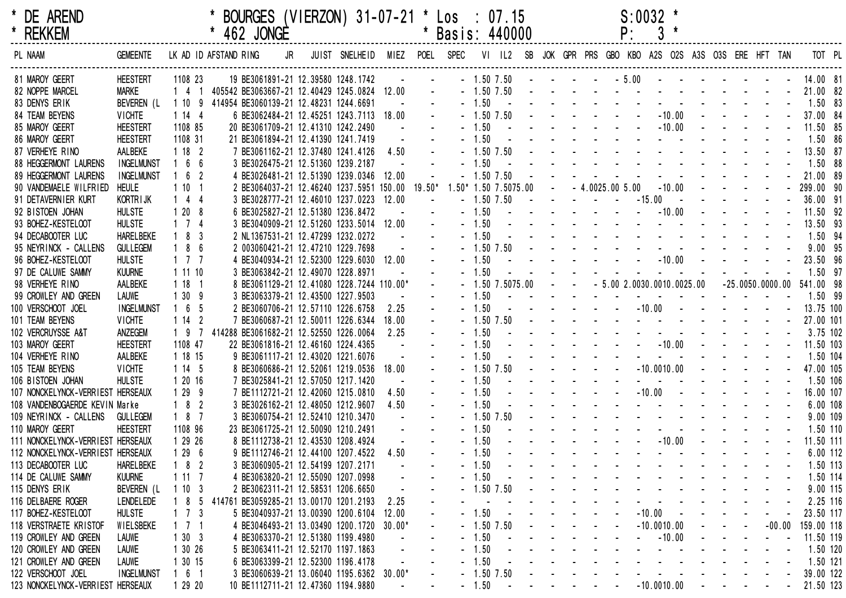| DE AREND<br><b>REKKEM</b><br>*    |                   |                               | BOURGES (VIERZON) 31-07-21 * Los : 07.15<br>462 JONGE |                          |          |             | * Basis: 440000        |                             |            |                                                             |                  | $S:0032$ *                                         |                         |                                   |          |              |  |
|-----------------------------------|-------------------|-------------------------------|-------------------------------------------------------|--------------------------|----------|-------------|------------------------|-----------------------------|------------|-------------------------------------------------------------|------------------|----------------------------------------------------|-------------------------|-----------------------------------|----------|--------------|--|
| PL NAAM                           | <b>GEMEENTE</b>   | LK AD ID AFSTAND RING         | JR                                                    | JUIST SNELHEID MIEZ POEL |          | <b>SPEC</b> | VI IL2                 |                             |            |                                                             |                  | SB JOK GPR PRS GBO KBO A2S O2S A3S O3S ERE HFT TAN |                         |                                   |          |              |  |
| 81 MAROY GEERT                    | <b>HEESTERT</b>   | 1108 23                       | 19 BE3061891-21 12.39580 1248.1742                    |                          |          |             | $-1.50$ 7.50           |                             |            |                                                             | $-5.00$          |                                                    |                         |                                   |          | 14.00 81     |  |
| 82 NOPPE MARCEL                   | <b>MARKE</b>      | $1\quad 4$                    | 1 405542 BE3063667-21 12.40429 1245.0824 12.00        |                          |          |             | $-1.50$ 7.50           |                             |            |                                                             |                  |                                                    |                         |                                   |          | 21.00 82     |  |
| 83 DENYS ERIK                     | BEVEREN (L        | 110                           | 9 414954 BE3060139-21 12.48231 1244.6691              |                          |          | $-1.50$     | $\sim$                 |                             |            |                                                             |                  |                                                    |                         |                                   |          | $1.50$ 83    |  |
| 84 TEAM BEYENS                    | <b>VICHTE</b>     | 1144                          | 6 BE3062484-21 12.45251 1243.7113 18.00               |                          |          |             | $-1.50$ 7.50           |                             |            |                                                             |                  | $-10.00$                                           |                         |                                   |          | 37.00 84     |  |
| 85 MAROY GEERT                    | <b>HEESTERT</b>   | 1108 85                       | 20 BE3061709-21 12.41310 1242.2490                    |                          |          | $-1.50$     |                        |                             |            |                                                             |                  | $-10.00$                                           |                         |                                   |          | 11.50 85     |  |
| 86 MAROY GEERT                    | <b>HEESTERT</b>   | 1108 31                       | 21 BE3061894-21 12.41390 1241.7419                    |                          |          | $-1.50$     |                        |                             |            |                                                             |                  |                                                    |                         |                                   |          | 1.50 86      |  |
| 87 VERHEYE RINO                   | AALBEKE           | 1182                          | 7 BE3061162-21 12.37480 1241.4126                     |                          | 4.50     |             | $-1.50$ 7.50           |                             |            |                                                             |                  |                                                    |                         |                                   |          | 13.50 87     |  |
| 88 HEGGERMONT LAURENS             | <b>INGELMUNST</b> | $1\quad 6$<br>- 6             | 3 BE3026475-21 12.51360 1239.2187                     |                          |          | $-1.50$     |                        |                             |            |                                                             |                  |                                                    |                         |                                   |          | 1.50 88      |  |
| 89 HEGGERMONT LAURENS             | <b>INGELMUNST</b> | $1\quad 6$<br>$\overline{2}$  | 4 BE3026481-21 12.51390 1239.0346 12.00               |                          |          |             | $-1.50$ 7.50           |                             |            |                                                             |                  |                                                    |                         |                                   |          | 21.00 89     |  |
| 90 VANDEMAELE WILFRIED            | <b>HEULE</b>      | 1101                          | 2 BE3064037-21 12.46240 1237.5951 150.00 19.50*       |                          |          |             | $1.50*$ 1.50 7.5075.00 |                             |            |                                                             | $-4.0025.005.00$ | $-10.00$                                           |                         |                                   |          | $-299.0090$  |  |
| 91 DETAVERNIER KURT               | <b>KORTRIJK</b>   | $1\quad 4$<br>-4              | 3 BE3028777-21 12.46010 1237.0223 12.00               |                          |          |             | $-1.50$ 7.50           |                             |            |                                                             |                  | $-15.00$                                           |                         |                                   |          | 36.00 91     |  |
| 92 BISTOEN JOHAN                  | <b>HULSTE</b>     | 120<br>- 8                    | 6 BE3025827-21 12.51380 1236.8472                     |                          |          | $-1.50$     |                        |                             |            |                                                             |                  | $- 10.00$                                          |                         |                                   |          | 11.50 92     |  |
| 93 BOHEZ-KESTELOOT                | <b>HULSTE</b>     | $1\quad 7$<br>-4              | 3 BE3040909-21 12.51260 1233.5014 12.00               |                          |          | $-1.50$     |                        |                             |            |                                                             |                  |                                                    |                         |                                   |          | $13.50$ $93$ |  |
| 94 DECABOOTER LUC                 | <b>HARELBEKE</b>  | $1 \quad 8$<br>-3             | 2 NL1367531-21 12.47299 1232.0272                     |                          |          | $-1.50$     |                        |                             |            |                                                             |                  |                                                    |                         |                                   |          | 1.50 94      |  |
| 95 NEYRINCK - CALLENS             | <b>GULLEGEM</b>   | $1 \quad 8$<br>6              | 2 003060421-21 12.47210 1229.7698                     |                          |          |             | $-1.50$ 7.50           |                             |            |                                                             |                  |                                                    |                         |                                   |          | 9.00 95      |  |
| 96 BOHEZ-KESTELOOT                | <b>HULSTE</b>     | $1\quad 7$                    | 4 BE3040934-21 12.52300 1229.6030 12.00               |                          |          | $-1.50$     |                        |                             |            |                                                             |                  | $-10.00 - -$                                       |                         |                                   |          | 23.50 96     |  |
| 97 DE CALUWE SAMMY                | <b>KUURNE</b>     | 1 11 10                       | 3 BE3063842-21 12.49070 1228.8971                     |                          |          | $-1.50$     |                        |                             |            |                                                             |                  |                                                    |                         |                                   |          | 1.50 97      |  |
| 98 VERHEYE RINO                   | AALBEKE           | 118                           | 8 BE3061129-21 12.41080 1228.7244 110.00*             |                          |          |             | $-1.50$ 7.5075.00      |                             |            |                                                             |                  | $-5.002.0030.0010.0025.00$                         |                         | $-25.0050.0000.00$                |          | 541.00 98    |  |
| 99 CROWLEY AND GREEN              | <b>LAUWE</b>      | 130<br>-9                     | 3 BE3063379-21 12.43500 1227.9503                     |                          |          | $-1.50$     |                        |                             |            |                                                             |                  |                                                    |                         |                                   |          | 1.50 99      |  |
| 100 VERSCHOOT JOEL                | <b>INGELMUNST</b> | $1\quad6$<br>-5               | 2 BE3060706-21 12.57110 1226.6758                     |                          | 2.25     | $-1.50$     |                        |                             |            |                                                             |                  | $-10.00 -$                                         |                         |                                   |          | 13.75 100    |  |
| 101 TEAM BEYENS                   | <b>VICHTE</b>     | 114<br>2                      | 7 BE3060687-21 12.50011 1226.6344                     |                          | 18.00    |             | $-1.50$ 7.50           |                             |            |                                                             |                  |                                                    |                         |                                   |          | 27.00 101    |  |
| 102 VERCRUYSSE A&T                | ANZEGEM           | 19                            | 414288 BE3061682-21 12.52550 1226.0064                |                          | 2.25     | $-1.50$     |                        |                             |            |                                                             |                  |                                                    |                         |                                   |          | 3.75 102     |  |
| 103 MAROY GEERT                   | <b>HEESTERT</b>   | 1108 47                       | 22 BE3061816-21 12.46160 1224.4365                    |                          |          | $-1.50$     |                        |                             |            |                                                             |                  | $- 10.00$                                          |                         |                                   |          | 11.50 103    |  |
| 104 VERHEYE RINO                  | AALBEKE           | 1 18 15                       | 9 BE3061117-21 12.43020 1221.6076                     |                          |          | $-1.50$     |                        |                             |            |                                                             |                  | <b>Contract Contract</b>                           |                         |                                   |          | 1.50 104     |  |
| 105 TEAM BEYENS                   | <b>VICHTE</b>     | 1145                          | 8 BE3060686-21 12.52061 1219.0536                     |                          | 18.00    |             | $-1.50$ 7.50           |                             |            |                                                             |                  | $-10.0010.00$                                      |                         |                                   |          | 47.00 105    |  |
| 106 BISTOEN JOHAN                 | <b>HULSTE</b>     | 1 20 16                       | 7 BE3025841-21 12.57050 1217.1420                     |                          |          | $-1.50$     |                        |                             |            |                                                             |                  |                                                    |                         |                                   |          | 1.50 106     |  |
| 107 NONCKELYNCK-VERRIEST HERSEAUX |                   | 129<br>9                      | 7 BE1112721-21 12.42060 1215.0810                     |                          | 4.50     | $-1.50$     |                        |                             |            |                                                             |                  | $-10.00 -$                                         |                         |                                   |          | 16.00 107    |  |
| 108 VANDENBOGAERDE KEVIN Marke    |                   | $1 \quad 8$<br>$\overline{2}$ | 3 BE3026162-21 12.48050 1212.9607                     |                          | 4.50     | $-1.50$     |                        |                             |            |                                                             |                  |                                                    |                         |                                   |          | 6.00 108     |  |
| 109 NEYRINCK - CALLENS            | <b>GULLEGEM</b>   | 18<br>- 7                     | 3 BE3060754-21 12.52410 1210.3470                     |                          |          |             | $-1.50$ 7.50           |                             |            |                                                             |                  |                                                    |                         |                                   |          | 9.00 109     |  |
| 110 MAROY GEERT                   | <b>HEESTERT</b>   | 1108 96                       | 23 BE3061725-21 12.50090 1210.2491                    |                          |          | $-1.50$     |                        |                             |            |                                                             |                  |                                                    |                         |                                   |          | 1.50 110     |  |
| 111 NONCKELYNCK-VERRIEST HERSEAUX |                   | 1 29 26                       | 8 BE1112738-21 12.43530 1208.4924                     |                          |          | $-1.50$     |                        |                             |            |                                                             |                  | $  -10.00$ $ -$                                    |                         |                                   |          | 11.50 111    |  |
| 112 NONCKELYNCK-VERRIEST HERSEAUX |                   | 1296                          | 9 BE1112746-21 12.44100 1207.4522                     |                          | 4.50     | $-1.50$     |                        |                             |            |                                                             |                  |                                                    |                         |                                   |          | 6.00 112     |  |
| 113 DECABOOTER LUC                | <b>HARELBEKE</b>  | 18<br>$\overline{2}$          | 3 BE3060905-21 12.54199 1207.2171                     |                          |          |             | 1.50                   |                             |            |                                                             |                  |                                                    |                         |                                   |          | 1.50 113     |  |
| 114 DE CALUWE SAMMY               | <b>KUURNE</b>     | 1117                          | 4 BE3063820-21 12.55090 1207.0998                     |                          |          | $-1.50$     |                        |                             |            |                                                             |                  |                                                    |                         |                                   |          | 1.50 114     |  |
| 115 DENYS ERIK                    | BEVEREN (L        | 1103                          | 2 BE3062311-21 12.58531 1206.6650                     |                          |          |             | $-1.50$ 7.50           |                             |            |                                                             |                  |                                                    |                         |                                   |          | 9.00 115     |  |
| 116 DELBAERE ROGER                | <b>LENDELEDE</b>  | 18<br>5                       | 414761 BE3059285-21 13.00170 1201.2193                |                          | 2.25     |             |                        |                             |            |                                                             |                  |                                                    |                         |                                   |          | 2.25 116     |  |
| 117 BOHEZ-KESTELOOT               | <b>HULSTE</b>     | $1\quad 7$<br>-3              | 5 BE3040937-21 13.00390 1200.6104                     |                          | 12.00    |             | $-1.50$                |                             |            |                                                             |                  | $-10.00 -$                                         |                         |                                   |          | 23.50 117    |  |
| 118 VERSTRAETE KRISTOF            | WIELSBEKE         | $1 \t1 \t1$                   | 4 BE3046493-21 13.03490 1200.1720                     |                          | $30.00*$ |             | $-1.50$ 7.50           |                             |            |                                                             |                  | $-10.0010.00$                                      |                         | $\sim$                            | $-00.00$ | 159.00 118   |  |
| 119 CROWLEY AND GREEN             | <b>LAUWE</b>      | 1303                          | 4 BE3063370-21 12.51380 1199.4980                     |                          |          | $-1.50$     | $\sim$ $-$             |                             |            |                                                             |                  | $- 10.00$                                          |                         |                                   |          | 11.50 119    |  |
| 120 CROWLEY AND GREEN             | <b>LAUWE</b>      | 1 30 26                       | 5 BE3063411-21 12.52170 1197.1863                     |                          |          | $-1.50$     |                        |                             |            |                                                             |                  |                                                    |                         |                                   |          | 1.50 120     |  |
| 121 CROWLEY AND GREEN             | <b>LAUWE</b>      | 1 30 15                       | 6 BE3063399-21 12.52300 1196.4178                     |                          |          | $-1.50$     |                        |                             |            |                                                             |                  |                                                    |                         |                                   |          | 1.50 121     |  |
| 122 VERSCHOOT JOEL                | <b>INGELMUNST</b> | $1\quad 6\quad 1$             | 3 BE3060639-21 13.06040 1195.6362 30.00*              |                          |          |             | $-1.50$ 7.50           |                             |            |                                                             |                  |                                                    |                         |                                   |          | 39.00 122    |  |
| 123 NONCKELYNCK-VERRIEST HERSEAUX |                   | 1 29 20                       | 10 BE1112711-21 12.47360 1194.9880                    |                          |          |             | $-1.50$                | $\sim 1000$ and $\sim 1000$ | $\sim 100$ | $\mathcal{L}_{\text{max}}$ , and $\mathcal{L}_{\text{max}}$ |                  | $-10.0010.00$                                      | $\sim 100$ km s $^{-1}$ | and the state of the state of the |          | 21.50 123    |  |